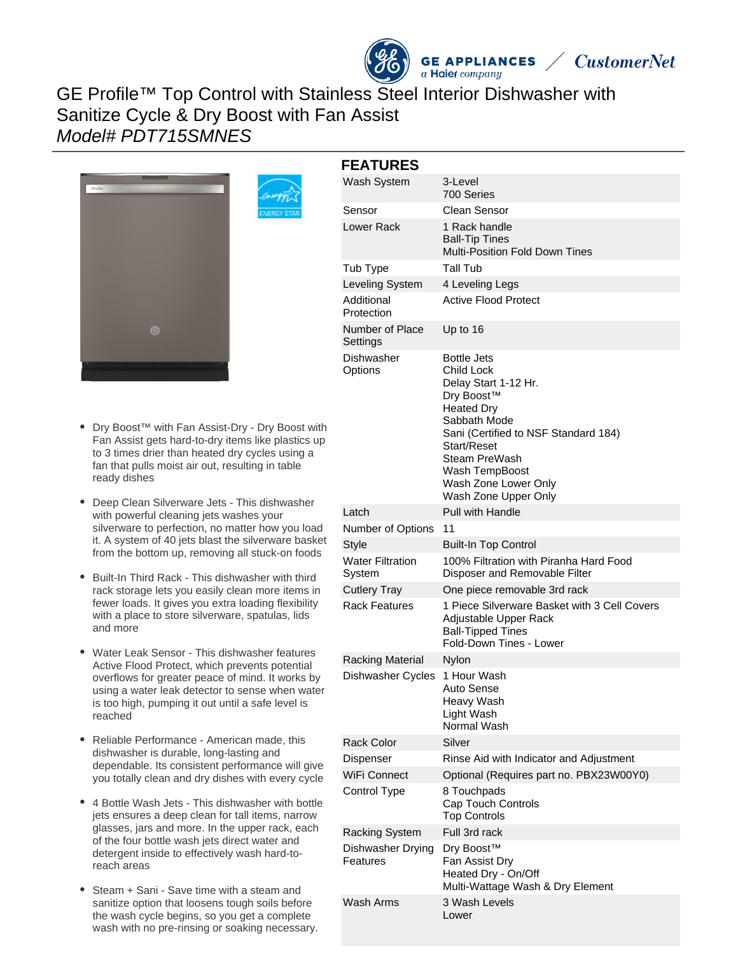# GE Profile™ Top Control with Stainless Steel Interior Dishwasher with Sanitize Cycle & Dry Boost with Fan Assist Model# PDT715SMNES



| <b>FEATURES</b>                   |                                                                                                                                                                                                                                                |
|-----------------------------------|------------------------------------------------------------------------------------------------------------------------------------------------------------------------------------------------------------------------------------------------|
| Wash System                       | 3-Level<br>700 Series                                                                                                                                                                                                                          |
| Sensor                            | <b>Clean Sensor</b>                                                                                                                                                                                                                            |
| Lower Rack                        | 1 Rack handle<br><b>Ball-Tip Tines</b><br><b>Multi-Position Fold Down Tines</b>                                                                                                                                                                |
| Tub Type                          | Tall Tub                                                                                                                                                                                                                                       |
| Leveling System                   | 4 Leveling Legs                                                                                                                                                                                                                                |
| Additional<br>Protection          | Active Flood Protect                                                                                                                                                                                                                           |
| Number of Place<br>Settings       | Up to 16                                                                                                                                                                                                                                       |
| Dishwasher<br>Options             | Bottle Jets<br>Child Lock<br>Delay Start 1-12 Hr.<br>Dry Boost™<br><b>Heated Dry</b><br>Sabbath Mode<br>Sani (Certified to NSF Standard 184)<br>Start/Reset<br>Steam PreWash<br>Wash TempBoost<br>Wash Zone Lower Only<br>Wash Zone Upper Only |
| Latch                             | <b>Pull with Handle</b>                                                                                                                                                                                                                        |
| Number of Options                 | 11                                                                                                                                                                                                                                             |
| Style                             | <b>Built-In Top Control</b>                                                                                                                                                                                                                    |
| <b>Water Filtration</b><br>System | 100% Filtration with Piranha Hard Food<br>Disposer and Removable Filter                                                                                                                                                                        |
| <b>Cutlery Tray</b>               | One piece removable 3rd rack                                                                                                                                                                                                                   |
| <b>Rack Features</b>              | 1 Piece Silverware Basket with 3 Cell Covers<br>Adjustable Upper Rack<br><b>Ball-Tipped Tines</b><br>Fold-Down Tines - Lower                                                                                                                   |
| <b>Racking Material</b>           | Nylon                                                                                                                                                                                                                                          |
| Dishwasher Cycles                 | 1 Hour Wash<br>Auto Sense<br>Heavy Wash<br>Light Wash<br>Normal Wash                                                                                                                                                                           |
| <b>Rack Color</b>                 | Silver                                                                                                                                                                                                                                         |
| Dispenser                         | Rinse Aid with Indicator and Adjustment                                                                                                                                                                                                        |
| WiFi Connect                      | Optional (Requires part no. PBX23W00Y0)                                                                                                                                                                                                        |
| Control Type                      | 8 Touchpads<br>Cap Touch Controls<br><b>Top Controls</b>                                                                                                                                                                                       |
| <b>Racking System</b>             | Full 3rd rack                                                                                                                                                                                                                                  |
| Dishwasher Drying<br>Features     | Dry Boost™<br>Fan Assist Dry<br>Heated Dry - On/Off<br>Multi-Wattage Wash & Dry Element                                                                                                                                                        |
| Wash Arms                         | 3 Wash Levels<br>Lower                                                                                                                                                                                                                         |

**GE APPLIANCES** 

 $a$  Haier  $company$ 

**CustomerNet** 

- Dry Boost™ with Fan Assist-Dry Dry Boost with Fan Assist gets hard-to-dry items like plastics up to 3 times drier than heated dry cycles using a fan that pulls moist air out, resulting in table ready dishes
- Deep Clean Silverware Jets This dishwasher with powerful cleaning jets washes your silverware to perfection, no matter how you load it. A system of 40 jets blast the silverware basket from the bottom up, removing all stuck-on foods
- Built-In Third Rack This dishwasher with third rack storage lets you easily clean more items in fewer loads. It gives you extra loading flexibility with a place to store silverware, spatulas, lids and more
- Water Leak Sensor This dishwasher features Active Flood Protect, which prevents potential overflows for greater peace of mind. It works by using a water leak detector to sense when water is too high, pumping it out until a safe level is reached
- Reliable Performance American made, this dishwasher is durable, long-lasting and dependable. Its consistent performance will give you totally clean and dry dishes with every cycle
- 4 Bottle Wash Jets This dishwasher with bottle jets ensures a deep clean for tall items, narrow glasses, jars and more. In the upper rack, each of the four bottle wash jets direct water and detergent inside to effectively wash hard-toreach areas
- Steam + Sani Save time with a steam and  $\bullet$ sanitize option that loosens tough soils before the wash cycle begins, so you get a complete wash with no pre-rinsing or soaking necessary.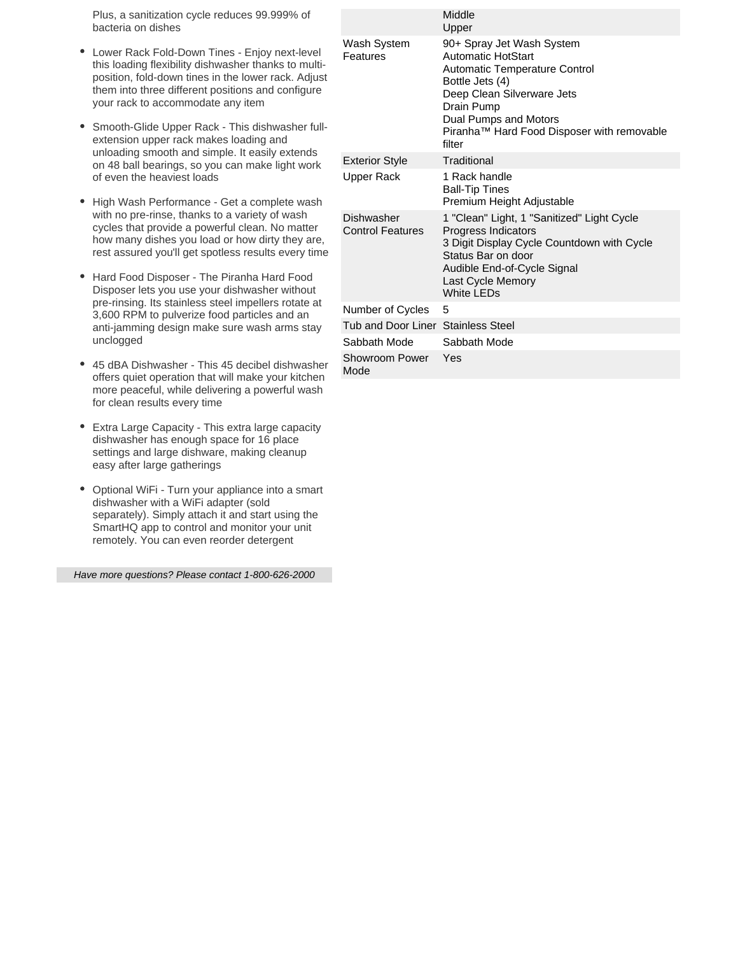Plus, a sanitization cycle reduces 99.999% of bacteria on dishes

- Lower Rack Fold-Down Tines Enjoy next-level  $\bullet$ this loading flexibility dishwasher thanks to multiposition, fold-down tines in the lower rack. Adjust them into three different positions and configure your rack to accommodate any item
- Smooth-Glide Upper Rack This dishwasher fullextension upper rack makes loading and unloading smooth and simple. It easily extends on 48 ball bearings, so you can make light work of even the heaviest loads
- High Wash Performance Get a complete wash with no pre-rinse, thanks to a variety of wash cycles that provide a powerful clean. No matter how many dishes you load or how dirty they are, rest assured you'll get spotless results every time
- Hard Food Disposer The Piranha Hard Food  $\bullet$ Disposer lets you use your dishwasher without pre-rinsing. Its stainless steel impellers rotate at 3,600 RPM to pulverize food particles and an anti-jamming design make sure wash arms stay unclogged
- 45 dBA Dishwasher This 45 decibel dishwasher offers quiet operation that will make your kitchen more peaceful, while delivering a powerful wash for clean results every time
- Extra Large Capacity This extra large capacity dishwasher has enough space for 16 place settings and large dishware, making cleanup easy after large gatherings
- Optional WiFi Turn your appliance into a smart dishwasher with a WiFi adapter (sold separately). Simply attach it and start using the SmartHQ app to control and monitor your unit remotely. You can even reorder detergent

Have more questions? Please contact 1-800-626-2000

|                                       | Middle<br>Upper                                                                                                                                                                                                                                |
|---------------------------------------|------------------------------------------------------------------------------------------------------------------------------------------------------------------------------------------------------------------------------------------------|
| Wash System<br>Features               | 90+ Spray Jet Wash System<br><b>Automatic HotStart</b><br><b>Automatic Temperature Control</b><br>Bottle Jets (4)<br>Deep Clean Silverware Jets<br>Drain Pump<br>Dual Pumps and Motors<br>Piranha™ Hard Food Disposer with removable<br>filter |
| <b>Exterior Style</b>                 | Traditional                                                                                                                                                                                                                                    |
| Upper Rack                            | 1 Rack handle<br><b>Ball-Tip Tines</b><br>Premium Height Adjustable                                                                                                                                                                            |
| Dishwasher<br><b>Control Features</b> | 1 "Clean" Light, 1 "Sanitized" Light Cycle<br>Progress Indicators<br>3 Digit Display Cycle Countdown with Cycle<br>Status Bar on door<br>Audible End-of-Cycle Signal<br>Last Cycle Memory<br>White LEDs                                        |
| Number of Cycles                      | 5                                                                                                                                                                                                                                              |
| Tub and Door Liner Stainless Steel    |                                                                                                                                                                                                                                                |
| Sabbath Mode                          | Sabbath Mode                                                                                                                                                                                                                                   |
| Showroom Power<br>Mode                | Yes                                                                                                                                                                                                                                            |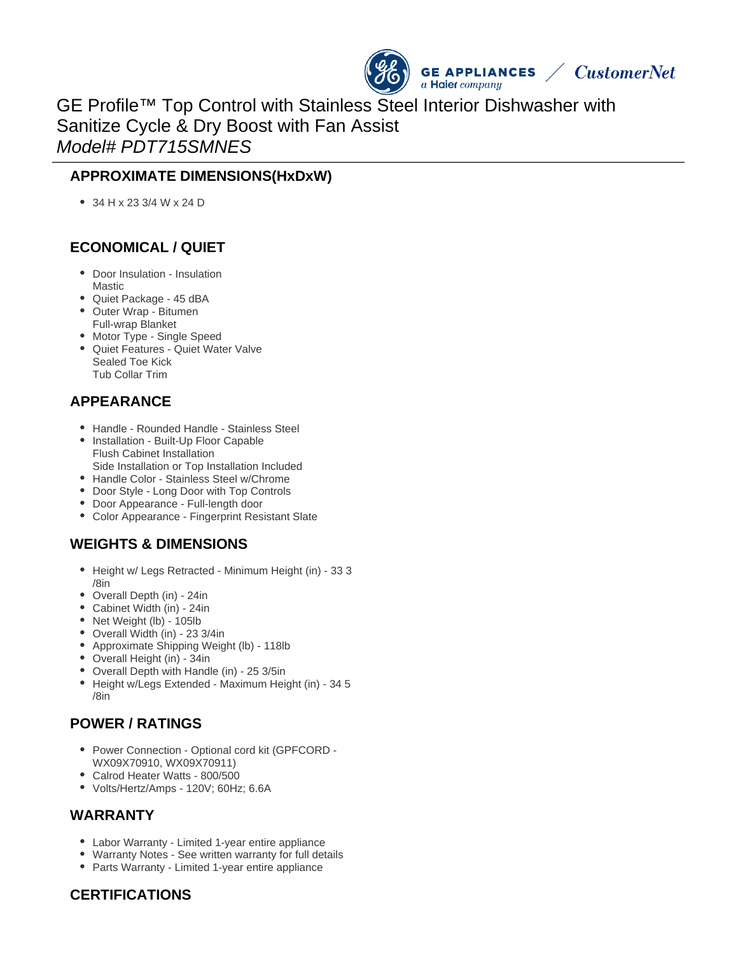

GE Profile™ Top Control with Stainless Steel Interior Dishwasher with Sanitize Cycle & Dry Boost with Fan Assist Model# PDT715SMNES

### **APPROXIMATE DIMENSIONS(HxDxW)**

34 H x 23 3/4 W x 24 D

## **ECONOMICAL / QUIET**

- Door Insulation Insulation Mastic
- Quiet Package 45 dBA
- Outer Wrap Bitumen
- Full-wrap Blanket
- Motor Type Single Speed Quiet Features - Quiet Water Valve Sealed Toe Kick Tub Collar Trim

## **APPEARANCE**

- Handle Rounded Handle Stainless Steel
- Installation Built-Up Floor Capable Flush Cabinet Installation Side Installation or Top Installation Included
- Handle Color Stainless Steel w/Chrome
- Door Style Long Door with Top Controls
- Door Appearance Full-length door
- Color Appearance Fingerprint Resistant Slate

## **WEIGHTS & DIMENSIONS**

- Height w/ Legs Retracted Minimum Height (in) 33 3 /8in
- Overall Depth (in) 24in
- Cabinet Width (in) 24in
- Net Weight (lb) 105lb
- Overall Width (in) 23 3/4in
- Approximate Shipping Weight (lb) 118lb
- Overall Height (in) 34in
- Overall Depth with Handle (in) 25 3/5in
- Height w/Legs Extended Maximum Height (in) 34 5 /8in

### **POWER / RATINGS**

- Power Connection Optional cord kit (GPFCORD -WX09X70910, WX09X70911)
- Calrod Heater Watts 800/500
- Volts/Hertz/Amps 120V; 60Hz; 6.6A

#### **WARRANTY**

- Labor Warranty Limited 1-year entire appliance
- Warranty Notes See written warranty for full details
- Parts Warranty Limited 1-year entire appliance

### **CERTIFICATIONS**